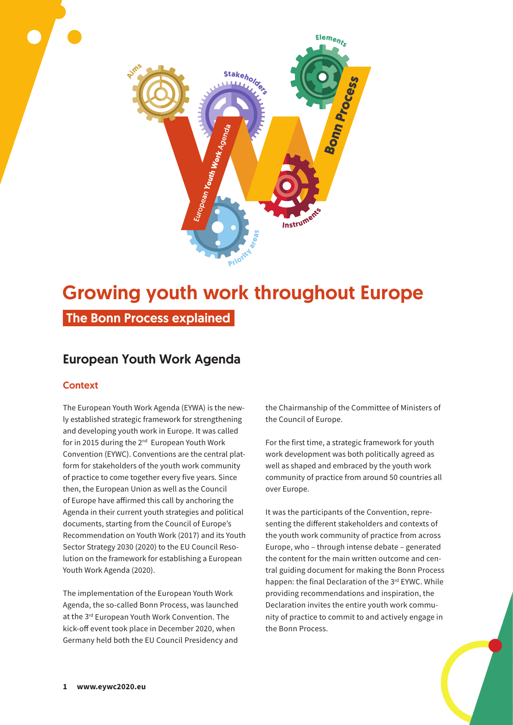

# Growing youth work throughout Europe

The Bonn Process explained

# European Youth Work Agenda

### **Context**

The European Youth Work Agenda (EYWA) is the newly established strategic framework for strengthening and developing youth work in Europe. It was called for in 2015 during the 2<sup>nd</sup> European Youth Work Convention (EYWC). Conventions are the central platform for stakeholders of the youth work community of practice to come together every five years. Since then, the European Union as well as the Council of Europe have affirmed this call by anchoring the Agenda in their current youth strategies and political documents, starting from the Council of Europe's Recommendation on Youth Work (2017) and its Youth Sector Strategy 2030 (2020) to the EU Council Resolution on the framework for establishing a European Youth Work Agenda (2020).

The implementation of the European Youth Work Agenda, the so-called Bonn Process, was launched at the 3<sup>rd</sup> European Youth Work Convention. The kick-off event took place in December 2020, when Germany held both the EU Council Presidency and

the Chairmanship of the Committee of Ministers of the Council of Europe.

For the first time, a strategic framework for youth work development was both politically agreed as well as shaped and embraced by the youth work community of practice from around 50 countries all over Europe.

It was the participants of the Convention, representing the different stakeholders and contexts of the youth work community of practice from across Europe, who – through intense debate – generated the content for the main written outcome and central guiding document for making the Bonn Process happen: the final Declaration of the 3rd EYWC. While providing recommendations and inspiration, the Declaration invites the entire youth work community of practice to commit to and actively engage in the Bonn Process.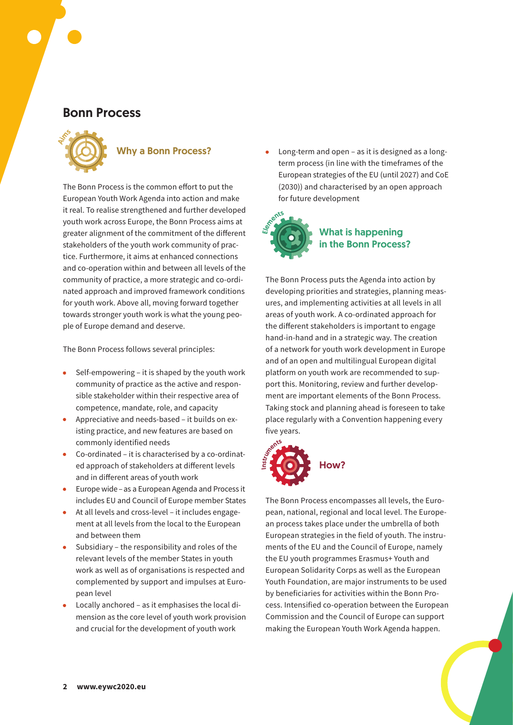# Bonn Process



# Why a Bonn Process?

The Bonn Process is the common effort to put the European Youth Work Agenda into action and make it real. To realise strengthened and further developed youth work across Europe, the Bonn Process aims at greater alignment of the commitment of the different stakeholders of the youth work community of practice. Furthermore, it aims at enhanced connections and co-operation within and between all levels of the community of practice, a more strategic and co-ordinated approach and improved framework conditions for youth work. Above all, moving forward together towards stronger youth work is what the young people of Europe demand and deserve.

The Bonn Process follows several principles:

- $\bullet$  Self-empowering it is shaped by the youth work community of practice as the active and responsible stakeholder within their respective area of competence, mandate, role, and capacity
- Appreciative and needs-based it builds on existing practice, and new features are based on commonly identified needs
- Co-ordinated it is characterised by a co-ordinated approach of stakeholders at different levels and in different areas of youth work
- Europe wide as a European Agenda and Process it includes EU and Council of Europe member States
- At all levels and cross-level it includes engagement at all levels from the local to the European and between them
- Subsidiary the responsibility and roles of the relevant levels of the member States in youth work as well as of organisations is respected and complemented by support and impulses at European level
- Locally anchored as it emphasises the local dimension as the core level of youth work provision and crucial for the development of youth work

Long-term and open – as it is designed as a longterm process (in line with the timeframes of the European strategies of the EU (until 2027) and CoE (2030)) and characterised by an open approach for future development



The Bonn Process puts the Agenda into action by developing priorities and strategies, planning measures, and implementing activities at all levels in all areas of youth work. A co-ordinated approach for the different stakeholders is important to engage hand-in-hand and in a strategic way. The creation of a network for youth work development in Europe and of an open and multilingual European digital platform on youth work are recommended to support this. Monitoring, review and further development are important elements of the Bonn Process. Taking stock and planning ahead is foreseen to take place regularly with a Convention happening every five years.



The Bonn Process encompasses all levels, the European, national, regional and local level. The European process takes place under the umbrella of both European strategies in the field of youth. The instruments of the EU and the Council of Europe, namely the EU youth programmes Erasmus+ Youth and European Solidarity Corps as well as the European Youth Foundation, are major instruments to be used by beneficiaries for activities within the Bonn Process. Intensified co-operation between the European Commission and the Council of Europe can support making the European Youth Work Agenda happen.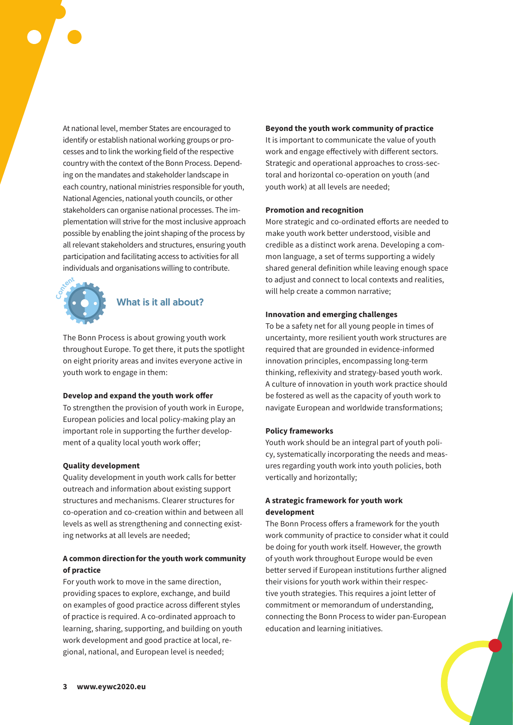At national level, member States are encouraged to identify or establish national working groups or processes and to link the working field of the respective country with the context of the Bonn Process. Depending on the mandates and stakeholder landscape in each country, national ministries responsible for youth, National Agencies, national youth councils, or other stakeholders can organise national processes. The implementation will strive for the most inclusive approach possible by enabling the joint shaping of the process by all relevant stakeholders and structures, ensuring youth participation and facilitating access to activities for all individuals and organisations willing to contribute.



## What is it all about?

The Bonn Process is about growing youth work throughout Europe. To get there, it puts the spotlight on eight priority areas and invites everyone active in youth work to engage in them:

#### **Develop and expand the youth work offer**

To strengthen the provision of youth work in Europe, European policies and local policy-making play an important role in supporting the further development of a quality local youth work offer;

#### **Quality development**

Quality development in youth work calls for better outreach and information about existing support structures and mechanisms. Clearer structures for co-operation and co-creation within and between all levels as well as strengthening and connecting existing networks at all levels are needed;

#### **A common direction for the youth work community of practice**

For youth work to move in the same direction, providing spaces to explore, exchange, and build on examples of good practice across different styles of practice is required. A co-ordinated approach to learning, sharing, supporting, and building on youth work development and good practice at local, regional, national, and European level is needed;

**Beyond the youth work community of practice** It is important to communicate the value of youth work and engage effectively with different sectors. Strategic and operational approaches to cross-sectoral and horizontal co-operation on youth (and youth work) at all levels are needed;

#### **Promotion and recognition**

More strategic and co-ordinated efforts are needed to make youth work better understood, visible and credible as a distinct work arena. Developing a common language, a set of terms supporting a widely shared general definition while leaving enough space to adjust and connect to local contexts and realities, will help create a common narrative;

#### **Innovation and emerging challenges**

To be a safety net for all young people in times of uncertainty, more resilient youth work structures are required that are grounded in evidence-informed innovation principles, encompassing long-term thinking, reflexivity and strategy-based youth work. A culture of innovation in youth work practice should be fostered as well as the capacity of youth work to navigate European and worldwide transformations;

#### **Policy frameworks**

Youth work should be an integral part of youth policy, systematically incorporating the needs and measures regarding youth work into youth policies, both vertically and horizontally;

#### **A strategic framework for youth work development**

The Bonn Process offers a framework for the youth work community of practice to consider what it could be doing for youth work itself. However, the growth of youth work throughout Europe would be even better served if European institutions further aligned their visions for youth work within their respective youth strategies. This requires a joint letter of commitment or memorandum of understanding, connecting the Bonn Process to wider pan-European education and learning initiatives.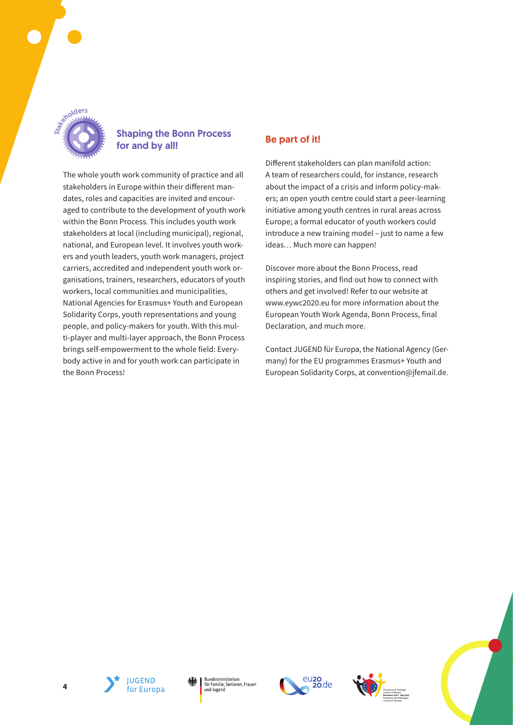

## Shaping the Bonn Process for and by all!

The whole youth work community of practice and all stakeholders in Europe within their different mandates, roles and capacities are invited and encouraged to contribute to the development of youth work within the Bonn Process. This includes youth work stakeholders at local (including municipal), regional, national, and European level. It involves youth workers and youth leaders, youth work managers, project carriers, accredited and independent youth work organisations, trainers, researchers, educators of youth workers, local communities and municipalities, National Agencies for Erasmus+ Youth and European Solidarity Corps, youth representations and young people, and policy-makers for youth. With this multi-player and multi-layer approach, the Bonn Process brings self-empowerment to the whole field: Everybody active in and for youth work can participate in the Bonn Process!

## Be part of it!

Different stakeholders can plan manifold action: A team of researchers could, for instance, research about the impact of a crisis and inform policy-makers; an open youth centre could start a peer-learning initiative among youth centres in rural areas across Europe; a formal educator of youth workers could introduce a new training model – just to name a few ideas… Much more can happen!

Discover more about the Bonn Process, read inspiring stories, and find out how to connect with others and get involved! Refer to our website at www.eywc2020.eu for more information about the European Youth Work Agenda, Bonn Process, final Declaration, and much more.

Contact JUGEND für Europa, the National Agency (Germany) for the EU programmes Erasmus+ Youth and European Solidarity Corps, at convention@jfemail.de.